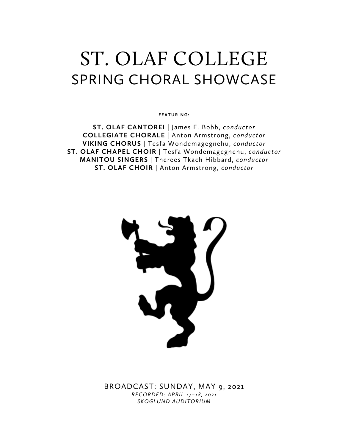# ST. OLAF COLLEGE SPRING CHORAL SHOWCASE

**FEATURING:**

**ST. OLAF CANTOREI** | James E. Bobb, *conductor* **COLLEGIATE CHORALE** | Anton Armstrong, *conductor* **VIKING CHORUS** | Tesfa Wondemagegnehu, *conductor* **ST. OLAF CHAPEL CHOIR** | Tesfa Wondemagegnehu, *conductor* **MANITOU SINGERS** | Therees Tkach Hibbard, *conductor* **ST. OLAF CHOIR** | Anton Armstrong, *conductor*



BROADCAST: SUNDAY, MAY 9, 2021 *RECORDED: APRIL 17–18, 2021 SKOGLUND AUDITORIUM*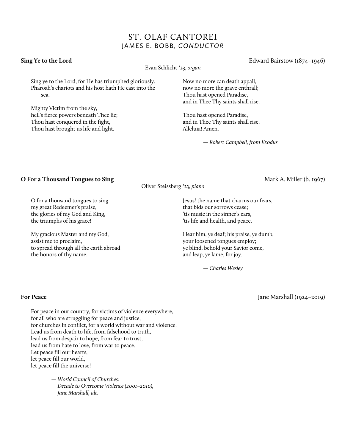## ST. OLAF CANTOREI JAMES E. BOBB, *CONDUCTOR*

Evan Schlicht '23, *organ*

**Sing Ye to the Lord** Edward Bairstow (1874–1946)

Sing ye to the Lord, for He has triumphed gloriously. Pharoah's chariots and his host hath He cast into the sea.

Mighty Victim from the sky, hell's fierce powers beneath Thee lie; Thou hast conquered in the fight, Thou hast brought us life and light.

Now no more can death appall, now no more the grave enthrall; Thou hast opened Paradise, and in Thee Thy saints shall rise.

Thou hast opened Paradise, and in Thee Thy saints shall rise. Alleluia! Amen.

*— Robert Campbell, from Exodus*

### **O For a Thousand Tongues to Sing** Mark A. Miller (b. 1967)

Oliver Steissberg '23, *piano*

O for a thousand tongues to sing my great Redeemer's praise, the glories of my God and King, the triumphs of his grace!

My gracious Master and my God, assist me to proclaim, to spread through all the earth abroad the honors of thy name.

Jesus! the name that charms our fears, that bids our sorrows cease; 'tis music in the sinner's ears, 'tis life and health, and peace.

Hear him, ye deaf; his praise, ye dumb, your loosened tongues employ; ye blind, behold your Savior come, and leap, ye lame, for joy.

*— Charles Wesley*

**For Peace** Jane Marshall (1924–2019)

For peace in our country, for victims of violence everywhere, for all who are struggling for peace and justice, for churches in conflict, for a world without war and violence. Lead us from death to life, from falsehood to truth, lead us from despair to hope, from fear to trust, lead us from hate to love, from war to peace. Let peace fill our hearts, let peace fill our world, let peace fill the universe!

> *— World Council of Churches: Decade to Overcome Violence (2001–2010), Jane Marshall, alt.*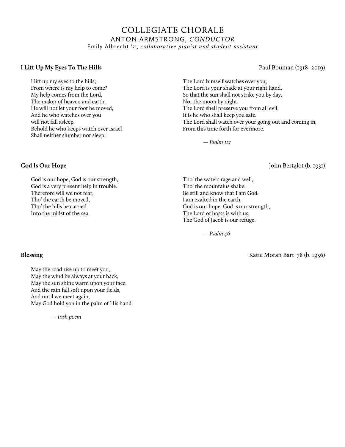COLLEGIATE CHORALE ANTON ARMSTRONG, *CONDUCTOR* Emily Albrecht '21, *collaborative pianist and student assistant*

### **I Lift Up My Eyes To The Hills** Paul Bouman (1918–2019)

I lift up my eyes to the hills; From where is my help to come? My help comes from the Lord, The maker of heaven and earth. He will not let your foot be moved, And he who watches over you will not fall asleep. Behold he who keeps watch over Israel Shall neither slumber nor sleep;

The Lord himself watches over you; The Lord is your shade at your right hand, So that the sun shall not strike you by day, Nor the moon by night. The Lord shell preserve you from all evil; It is he who shall keep you safe. The Lord shall watch over your going out and coming in, From this time forth for evermore.

*— Psalm 121*

#### **God Is Our Hope** John Bertalot (b. 1931)

Tho' the waters rage and well, Tho' the mountains shake. Be still and know that I am God. I am exalted in the earth. God is our hope, God is our strength, The Lord of hosts is with us, The God of Jacob is our refuge.

*— Psalm 46*

**Blessing** Katie Moran Bart '78 (b. 1956)

God is our hope, God is our strength, God is a very present help in trouble. Therefore will we not fear, Tho' the earth be moved, Tho' the hills be carried Into the midst of the sea.

May the road rise up to meet you, May the wind be always at your back, May the sun shine warm upon your face, And the rain fall soft upon your fields, And until we meet again, May God hold you in the palm of His hand.

*— Irish poem*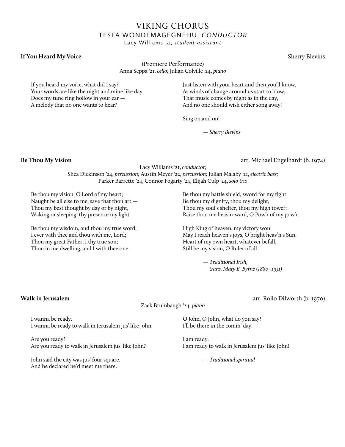## VIKING CHORUS TESFA WONDEMAGEGNEHU, *CONDUCTOR*

Lacy Williams *'*21, *student assistant*

### **If You Heard My Voice** Sherry Blevins and the state of the state of the state of the Sherry Blevins Sherry Blevins

(Premiere Performance)

Anna Seppa *'*21, *cello;* Julian Colville *'*24, *piano*

If you heard my voice, what did I say? Your words are like the night and mine like day. Does my tune ring hollow in your ear — A melody that no one wants to hear?

Just listen with your heart and then you'll know, As winds of change around us start to blow, That music comes by night as in the day, And no one should wish either song away!

Sing on and on!

*— Sherry Blevins*

**Be Thou My Vision** arr. Michael Engelhardt (b. 1974)

Lacy Williams *'*21, *conductor;*

### Shea Dickinson *'*24, *percussion;* Austin Meyer *'*22, *percussion;* Julian Malaby *'*21, *electric bass;* Parker Barrette *'*24, Connor Fogarty *'*24, Elijah Culp *'*24, *solo trio*

Be thou my vision, O Lord of my heart; Naught be all else to me, save that thou art — Thou my best thought by day or by night, Waking or sleeping, thy presence my light.

Be thou my wisdom, and thou my true word; I ever with thee and thou with me, Lord; Thou my great Father, I thy true son; Thou in me dwelling, and I with thee one.

Be thou my battle shield, sword for my fight; Be thou my dignity, thou my delight, Thou my soul's shelter, thou my high tower: Raise thou me heav'n-ward, O Pow'r of my pow'r.

High King of heaven, my victory won, May I reach heaven's joys, O bright heav'n's Sun! Heart of my own heart, whatever befall, Still be my vision, O Ruler of all.

> *— Traditional Irish, trans. Mary E. Byrne (1880–1931)*

Zack Brumbaugh '24, *piano*

**Walk in Jerusalem** arr. Rollo Dilworth (b. 1970)

I wanna be ready. I wanna be ready to walk in Jerusalem jus' like John.

Are you ready? Are you ready to walk in Jerusalem jus' like John?

John said the city was jus' four square. And he declared he'd meet me there.

O John, O John, what do you say? I'll be there in the comin' day.

I am ready. I am ready to walk in Jerusalem jus' like John!

*— Traditional spiritual*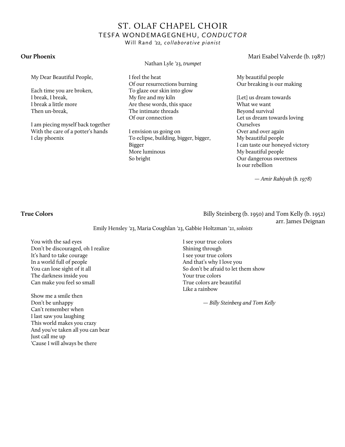### ST. OLAF CHAPEL CHOIR TESFA WONDEMAGEGNEHU, *CONDUCTOR* Will Rand *'*22, *collaborative pianist*

My Dear Beautiful People,

Each time you are broken, I break, I break, I break a little more Then un-break,

I am piecing myself back together With the care of a potter's hands I clay phoenix

Nathan Lyle *'*23, *trumpet*

I feel the heat Of our resurrections burning To glaze our skin into glow My fire and my kiln Are these words, this space The intimate threads Of our connection

I envision us going on To eclipse, building, bigger, bigger, Bigger More luminous So bright

**Our Phoenix** Mari Esabel Valverde (b. 1987)

My beautiful people Our breaking is our making

[Let] us dream towards What we want Beyond survival Let us dream towards loving Ourselves Over and over again My beautiful people I can taste our honeyed victory My beautiful people Our dangerous sweetness Is our rebellion

*— Amir Rabiyah (b. 1978)*

**True Colors Billy Steinberg (b. 1950) and Tom Kelly (b. 1952) Billy Steinberg (b. 1950) and Tom Kelly (b. 1952)** arr. James Deignan

Emily Hensley *'*23, Maria Coughlan *'*23, Gabbie Holtzman '21, *soloists*

You with the sad eyes Don't be discouraged, oh I realize It's hard to take courage In a world full of people You can lose sight of it all The darkness inside you Can make you feel so small

Show me a smile then Don't be unhappy Can't remember when I last saw you laughing This world makes you crazy And you've taken all you can bear Just call me up 'Cause I will always be there

I see your true colors Shining through I see your true colors And that's why I love you So don't be afraid to let them show Your true colors True colors are beautiful Like a rainbow

*— Billy Steinberg and Tom Kelly*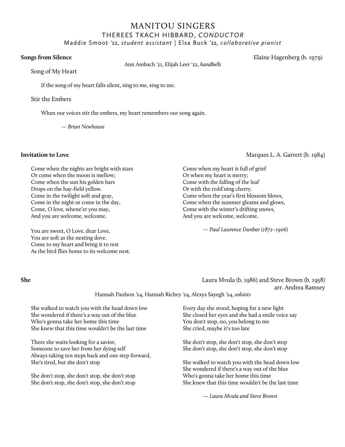### MANITOU SINGERS THEREES TKACH HIBBARD, *CONDUCTOR* Maddie Smoot '22, *student assistant* | Elsa Buck '22, *collaborative pianist*

Ann Ambach '21, Elijah Leer '22, *handbells*

**Songs from Silence** Elaine Hagenberg (b. 1979)

Song of My Heart

If the song of my heart falls silent, sing to me, sing to me.

Stir the Embers

When our voices stir the embers, my heart remembers our song again.

*— Brian Newhouse*

Come when the nights are bright with stars Or come when the moon is mellow; Come when the sun his golden bars Drops on the hay-field yellow. Come in the twilight soft and gray, Come in the night or come in the day, Come, O love, whene'er you may, And you are welcome, welcome.

You are sweet, O Love, dear Love, You are soft as the nesting dove. Come to my heart and bring it to rest As the bird flies home to its welcome nest.

### **Invitation to Love Marques L. A. Garrett (b. 1984) Marques L. A. Garrett (b. 1984)**

Come when my heart is full of grief Or when my heart is merry; Come with the falling of the leaf Or with the redd'ning cherry. Come when the year's first blossom blows, Come when the summer gleams and glows, Come with the winter's drifting snows, And you are welcome, welcome.

*— Paul Laurence Dunbar (1872–1906)*

### **She** Laura Mvula (b. 1986) and Steve Brown (b. 1958) arr. Andrea Ramsey

Hannah Paulson *'*24, Hannah Richey *'*24, Alexys Sayegh *'*24, *soloists*

She walked to watch you with the head down low She wondered if there's a way out of the blue Who's gonna take her home this time She knew that this time wouldn't be the last time

There she waits looking for a savior, Someone to save her from her dying self Always taking ten steps back and one step forward, She's tired, but she don't stop

She don't stop, she don't stop, she don't stop She don't stop, she don't stop, she don't stop Every day she stood, hoping for a new light She closed her eyes and she had a smile voice say You don't stop, no, you belong to me She cried, maybe it's too late

She don't stop, she don't stop, she don't stop She don't stop, she don't stop, she don't stop

She walked to watch you with the head down low She wondered if there's a way out of the blue Who's gonna take her home this time She knew that this time wouldn't be the last time

*— Laura Mvula and Steve Brown*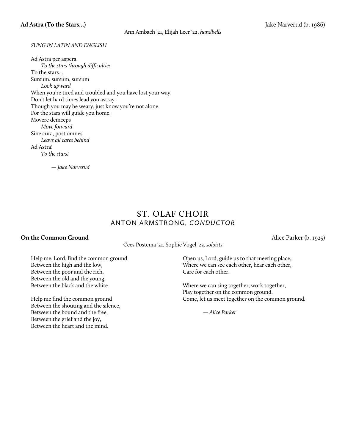#### *SUNG IN LATIN AND ENGLISH*

Ad Astra per aspera *To the stars through difficulties* To the stars… Sursum, sursum, sursum *Look upward* When you're tired and troubled and you have lost your way, Don't let hard times lead you astray. Though you may be weary, just know you're not alone, For the stars will guide you home. Movere deinceps *Move forward* Sine cura, post omnes *Leave all cares behind* Ad Astra! *To the stars!*

*— Jake Narverud*

## ST. OLAF CHOIR ANTON ARMSTRONG, *CONDUCTOR*

### **On the Common Ground** Alice Parker (b. 1925)

Cees Postema '21, Sophie Vogel '22, *soloists*

Help me, Lord, find the common ground Between the high and the low, Between the poor and the rich, Between the old and the young, Between the black and the white.

Help me find the common ground Between the shouting and the silence, Between the bound and the free, Between the grief and the joy, Between the heart and the mind.

Open us, Lord, guide us to that meeting place, Where we can see each other, hear each other, Care for each other.

Where we can sing together, work together, Play together on the common ground. Come, let us meet together on the common ground.

*— Alice Parker*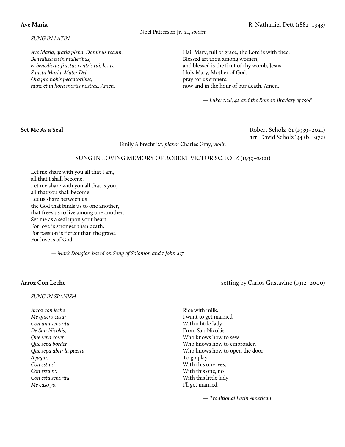### *SUNG IN LATIN*

*Ave Maria, gratia plena, Dominus tecum. Benedicta tu in mulieribus, et benedictus fructus ventris tui, Jesus. Sancta Maria, Mater Dei, Ora pro nobis peccatoribus, nunc et in hora mortis nostrae. Amen.*

Hail Mary, full of grace, the Lord is with thee. Blessed art thou among women, and blessed is the fruit of thy womb, Jesus. Holy Mary, Mother of God, pray for us sinners, now and in the hour of our death. Amen.

*— Luke: 1:28, 42 and the Roman Breviary of 1568*

**Set Me As a Seal** Robert Scholz '61 (1939–2021) arr. David Scholz '94 (b. 1972)

### Emily Albrecht '21, *piano;* Charles Gray, *violin*

### SUNG IN LOVING MEMORY OF ROBERT VICTOR SCHOLZ (1939–2021)

Let me share with you all that I am, all that I shall become. Let me share with you all that is you, all that you shall become. Let us share between us the God that binds us to one another, that frees us to live among one another. Set me as a seal upon your heart. For love is stronger than death. For passion is fiercer than the grave. For love is of God.

*— Mark Douglas, based on Song of Solomon and 1 John 4:7*

### *SUNG IN SPANISH*

*Arroz con leche Me quiero casar Cón una señorita De San Nicolás, Que sepa coser Que sepa border Que sepa abrir la puerta A jugar. Con esta si Con esta no Con esta señorita Me caso yo.*

**Arroz Con Leche** Setting by Carlos Gustavino (1912–2000)

Rice with milk. I want to get married With a little lady From San Nicolás, Who knows how to sew Who knows how to embroider, Who knows how to open the door To go play. With this one, yes, With this one, no With this little lady I'll get married.

*— Traditional Latin American*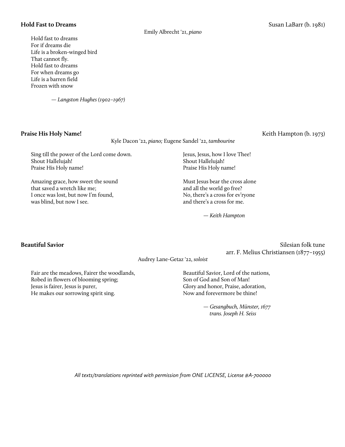### **Hold Fast to Dreams** Susan LaBarr (b. 1981)

Hold fast to dreams For if dreams die Life is a broken-winged bird That cannot fly. Hold fast to dreams For when dreams go Life is a barren field Frozen with snow

*— Langston Hughes (1902–1967)*

### **Praise His Holy Name!** (b. 1973)

Kyle Dacon '22, *piano;* Eugene Sandel '22, *tambourine*

Sing till the power of the Lord come down. Shout Hallelujah! Praise His Holy name!

Amazing grace, how sweet the sound that saved a wretch like me; I once was lost, but now I'm found, was blind, but now I see.

Jesus, Jesus, how I love Thee! Shout Hallelujah! Praise His Holy name!

Must Jesus bear the cross alone and all the world go free? No, there's a cross for ev'ryone and there's a cross for me.

*— Keith Hampton*

**Beautiful Savior** Silesian folk tune arr. F. Melius Christiansen (1877–1955)

Audrey Lane-Getaz '22, *soloist*

Fair are the meadows, Fairer the woodlands, Robed in flowers of blooming spring; Jesus is fairer, Jesus is purer, He makes our sorrowing spirit sing.

Beautiful Savior, Lord of the nations, Son of God and Son of Man! Glory and honor, Praise, adoration, Now and forevermore be thine!

> *— Gesangbuch, Münster, 1677 trans. Joseph H. Seiss*

*All texts/translations reprinted with permission from ONE LICENSE, License #A-700000*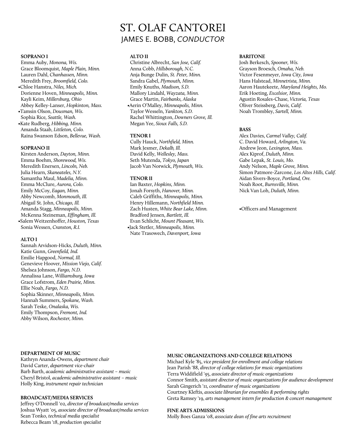## ST. OLAF CANTOREI JAMES E. BOBB, *CONDUCTOR*

#### **SOPRANO I**

Emma Auby, *Monona, Wis.* Grace Bloomquist, *Maple Plain, Minn.* Lauren Dahl, *Chanhassen, Minn.* Meredith Frey, *Broomfield, Colo.*

•Chloe Hanstra, *Niles, Mich.* Dorienne Hoven, *Minneapolis, Minn.* Kayli Keim, *Millersburg, Ohio* Abbey Kelley-Lanser, *Hopkinton, Mass.*

•Tamsin Olson, *Dousman, Wis.* Sophia Rice*, Seattle, Wash.*

•Kate Rudberg, *Hibbing, Minn.* Amanda Staab, *Littleton, Colo.* Raina Swanson Edson, *Bellevue, Wash.*

#### **SOPRANO II**

Kirsten Anderson, *Dayton, Minn.* Emma Boehm, *Shorewood, Wis.* Meredith Enersen, *Lincoln, Neb.* Julia Hearn, *Skaneateles, N.Y.* Samantha Maul, *Madelia, Minn.* Emma McClure, *Aurora, Colo.* Emily McCoy, *Eagan, Minn.* Abby Newcomb, *Monmouth, Ill.* Abigail St. John, *Chicago, Ill.* Amanda Stagg, *Minneapolis, Minn.* McKenna Steineman, *Effingham, Ill.* •Salem Weitzenhoffer, *Houston, Texas* Sonia Wessen, *Cranston, R.I.*

#### **ALTO I**

Sannah Arvidson-Hicks, *Duluth, Minn.* Katie Gunn, *Greenfield, Ind.* Emilie Hapgood, *Normal, Ill.* Genevieve Hoover, *Mission Viejo, Calif.* Shelsea Johnson, *Fargo, N.D.* Annalissa Lane, *Williamsburg, Iowa* Grace Lofstrom, *Eden Prairie, Minn.* Ellie Noah, *Fargo, N.D.* Sophia Skinner, *Minneapolis, Minn.* Hannah Summers, *Spokane, Wash.* Sarah Teske, *Onalaska, Wis.* Emily Thompson, *Fremont, Ind.* Abby Wilson, *Rochester, Minn.*

### **DEPARTMENT OF MUSIC**

Kathryn Ananda-Owens, *department chair* David Carter, *department vice-chair* Barb Barth, *academic administrative assistant – music* Cheryl Bristol, *academic administrative assistant – music*  Holly King, *instrument repair technician* 

#### **BROADCAST/MEDIA SERVICES**

Jeffrey O'Donnell '02, *director of broadcast/media services* Joshua Wyatt '05, *associate director of broadcast/media services* Sean Tonko, *technical media specialist* Rebecca Beam '18, *production specialist*

#### **ALTO II**

Christine Albrecht, *San Jose, Calif.* Anna Cobb, *Hillsborough, N.C.* Anja Bunge Dulin, *St. Peter, Minn.* Sandra Gabel, *Plymouth, Minn.* Emily Knuths, *Madison, S.D.* Mallory Lindahl, *Wayzata, Minn.* Grace Martin, *Fairbanks, Alaska* •Aerin O'Malley, *Minneapolis, Minn.* Taylor Wesseln, *Yankton, S.D.* Rachel Whittington, *Downers Grove, Ill.* Megan Yee, *Sioux Falls, S.D.*

#### **TENOR I**

Cully Hauck, *Northfield, Minn.* Mark Jesmer, *Dekalb, Ill.* David Kelly, *Wellesley, Mass.* Seth Mutenda, *Tokyo, Japan* Jacob Van Norwick, *Plymouth, Wis.*

#### **TENOR II**

Ian Baxter, *Hopkins, Minn.* Jonah Forsyth, *Hanover, Minn.* Caleb Griffiths, *Minneapolis, Minn.* Henry Hillemann, *Northfield Minn.* Zach Husten, *White Bear Lake, Minn.* Bradford Jensen, *Bartlett, Ill.* Evan Schlicht, *Mount Pleasant, Wis.* •Jack Stetler, *Minneapolis, Minn.* Nate Trasowech, *Davenport, Iowa*

#### **BARITONE**

Josh Berkesch, *Spooner, Wis.* Grayson Broesch, *Omaha, Neb.* Victor Fesenmeyer, *Iowa City, Iowa* Hans Halstead, *Minnetrista, Minn.* Aaron Hautekeete, *Maryland Heights, Mo.*  Erik Hoeting, *Excelsior, Minn.* Agustin Rosales-Chase, *Victoria, Texas* Oliver Steissberg, *Davis, Calif.* Noah Trombley, *Sartell, Minn.*

#### **BASS**

Alex Davies, *Carmel Valley, Calif.* C. David Howard, *Arlington, Va.* Andrew Jeon, *Lexington, Mass.* Alex Kiprof, *Duluth, Minn.* Gabe Lepak, *St. Louis, Mo.* Andy Nelson, *Maple Grove, Minn.* Simon Patmore-Zarcone, *Los Altos Hills, Calif.* Aidan Sivers-Boyce, *Portland, Ore.* Noah Root, *Burnsville, Minn.* Nick Van Loh, *Duluth, Minn.*

•Officers and Management

#### **MUSIC ORGANIZATIONS AND COLLEGE RELATIONS**

Michael Kyle '85, *vice president for enrollment and college relations* Jean Parish '88, *director of college relations for music organizations*  Terra Widdifield '95, *associate director of music organizations*  Connor Smith, *assistant director of music organizations for audience development* Sarah Gingerich '11*, coordinator of music organizations* Courtney Kleftis, *associate librarian for ensembles & performing rights* Greta Ramsey '19, *arts management intern for production & concert management*

#### **FINE ARTS ADMISSIONS**

Molly Boes Ganza '08, *associate dean of fine arts recruitment*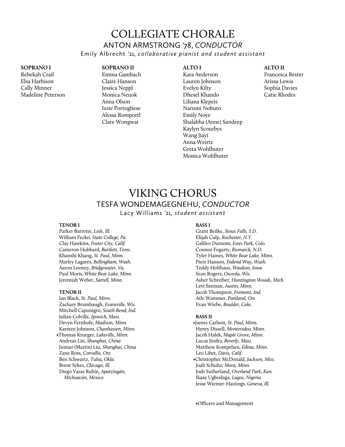## COLLEGIATE CHORALE ANTON ARMSTRONG *'*78, *CONDUCTOR* Emily Albrecht '21, *collaborative pianist and student assistant*

#### **SOPRANO I**

Rebekah Crail Elsa Harbison Cally Minner Madeline Peterson **SOPRANO II** Emma Gambach Claire Hanson Jessica Neppl Monica Neuok Anna Olson Izzie Portoghese Alyssa Romportl Clare Wongwai

#### **ALTO I**

Kara Anderson Lauren Johnson Evelyn Kilty Dhesel Khando Liliana Klepeis Narumi Nobuto Emily Noye Shalabha (Anne) Sandeep Kaylyn Scourbys Wang Jiayi Anna Weirtz Greta Wohlhuter Monica Wohlhuter

#### **ALTO II**

Francesca Bester Arissa Lewis Sophia Davies Catie Rhodes

## VIKING CHORUS TESFA WONDEMAGEGNEHU, *CONDUCTOR*

Lacy Williams '21, *student assistant*

#### **TENOR I**

Parker Barrette, *Lisle, Ill.* William Fecko, *State College, Pa.* Clay Hawkins, *Foster City, Calif.* Cameron Hubbard, *Bartlett, Tenn.* Khanshi Khang, *St. Paul, Minn.* Marley Lagares, *Bellingham, Wash.* Aaron Looney, *Bridgewater, Va.* Paul Moris, *White Bear Lake, Minn.* Jeremiah Weber, *Sartell, Minn.*

#### **TENOR II**

Ian Black, *St. Paul, Minn.* Zachary Brumbaugh, *Evansville, Wis.* Mitchell Caponigro, *South Bend, Ind.* Julian Colville, *Ipswich, Mass.* Devyn Fernholz, *Madison, Minn.* Karsten Johnson, *Chanhassen, Minn.* •Thomas Krueger, *Lakeville, Minn.* Andreas Lin, *Shanghai, China* Juntao (Martin) Liu, *Shanghai, China* Zane Ross, *Corvallis, Ore.* Ben Schwartz, *Tulsa, Okla.* Brent Sykes, *Chicago, Ill.* Diego Varas Rubín, *Apatzingán, Michoacán, Mexico*

#### **BASS I**

Grant Beilke, *Sioux Falls, S.D.* Elijah Culp, *Rochester, N.Y.* Galileo Dumont, *Estes Park, Colo.* Connor Fogarty, *Bismarck, N.D.* Tyler Haines, *White Bear Lake, Minn.* Piers Hanson, *Federal Way, Wash.* Teddy Holthaus, *Waukon, Iowa* Sean Rogers, *Osceola, Wis.* Asher Schreiber, *Huntington Woods, Mich.* Levi Seeman, *Austin, Minn.* Jacob Thompson, *Fremont, Ind.* Atle Wammer, *Portland, Ore.* Evan Wiebe, *Boulder, Colo.*

#### **BASS II**

•James Carlson, *St. Paul, Minn.* Henry Dissell, *Montevideo, Minn.* Jacob Halek, *Maple Grove, Minn.* Lucas Jindra, *Beverly, Mass.* Matthew Kompelien, *Edina, Minn.* Leo Libet, *Davis, Calif.* •Christopher McDonald, *Jackson, Miss.* Joah Schultz, *Mora, Minn.* Josh Sutherland, *Overland Park, Kan.* Ikaay Ugbodaga, *Lagos, Nigeria* Jesse Wiemer-Hastings, *Geneva, Ill.*

•Officers and Management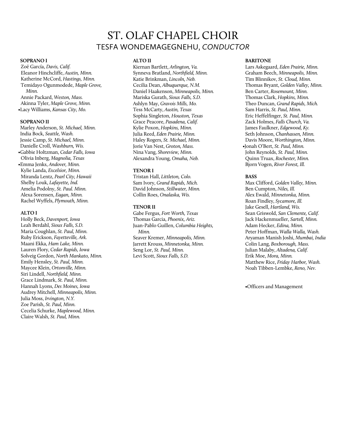## ST. OLAF CHAPEL CHOIR TESFA WONDEMAGEGNEHU, *CONDUCTOR*

#### **SOPRANO I**

Zoë García, *Davis, Calif.* Eleanor Hinchcliffe, *Austin, Minn.* Katherine McCord, *Hastings, Minn.* Temidayo Ogunmodede, *Maple Grove, Minn.* Annie Packard, *Weston, Mass.* Akinna Tyler, *Maple Grove, Minn.* •Lacy Williams, *Kansas City, Mo.*

#### **SOPRANO II**

Marley Anderson, *St. Michael, Minn.* India Bock, *Seattle, Wash.* Jessie Camp, *St. Michael, Minn.* Danielle Croll, *Washburn, Wis.* •Gabbie Holtzman, *Cedar Falls, Iowa* Olivia Inberg, *Magnolia, Texas* •Emma Jenks, *Andover, Minn.*

Kylie Landa, *Excelsior, Minn.* Miranda Lentz, *Pearl City, Hawaii* Shelby Louk, *Lafayette, Ind.* Amelia Podolny, *St. Paul. Minn.* Alexa Sorensen, *Eagan, Minn.* Rachel Wyffels, *Plymouth, Minn.*

#### **ALTO I**

Holly Beck, *Davenport, Iowa* Leah Berdahl, *Sioux Falls, S.D.* Maria Coughlan, *St. Paul, Minn.* Ruby Erickson, *Fayetteville, Ark.* Maani Ekka, *Ham Lake, Minn.* Lauren Flory, *Cedar Rapids, Iowa* Solveig Gordon, *North Mankato, Minn.* Emily Hensley, *St. Paul, Minn.* Maycee Klein, *Ortonville, Minn.* Siri Lindell, *Northfield, Minn.* Grace Lindmark, *St. Paul, Minn.* Hannah Lyons, *Des Moines, Iowa* Audrey Mitchell, *Minneapolis, Minn.* Julia Moss, *Irvington, N.Y.* Zoe Parish, *St. Paul, Minn.* Cecelia Schurke, *Maplewood, Minn.* Claire Walsh, *St. Paul, Minn.*

#### **ALTO II**

Kiernan Bartlett, *Arlington, Va.* Synneva Bratland, *Northfield, Minn.* Katie Brinkman, *Lincoln, Neb.* Cecilia Dean, *Albuquerque, N.M.* Daniel Haakenson, *Minneapolis, Minn.* Mariska Gurath, *Sioux Falls, S.D.* Ashlyn May, *Gravois Mills, Mo.* Tess McCarty, *Austin, Texas* Sophia Singleton, *Houston, Texas* Grace Peacore, *Pasadena, Calif.* Kylie Poxon, *Hopkins, Minn.* Julia Reed, *Eden Prairie, Minn.* Haley Rogers, *St. Michael, Minn.* Jorie Van Nest, *Groton, Mass.* Nina Vang, *Shoreview, Minn.* Alexandra Young, *Omaha, Neb.*

#### **TENOR I**

Tristan Hall, *Littleton, Colo.* Sam Ivory, *Grand Rapids, Mich.* David Johnson, *Stillwater, Minn.* Collin Roes, *Onalaska, Wis.*

#### **TENOR II**

Gabe Fergus, *Fort Worth, Texas* Thomas Garcia, *Phoenix, Ariz.* Juan-Pablo Guillen, *Columbia Heights, Minn.* Seaver Kremer, *Minneapolis, Minn.*

Jarrett Krouss, *Minnetonka, Minn.* Seng Lor, *St. Paul, Minn.* Levi Scott, *Sioux Falls, S.D.*

#### **BARITONE**

Lars Askegaard, *Eden Prairie, Minn.* Graham Beech, *Minneapolis, Minn.* Tim Blinnikov, *St. Cloud, Minn.* Thomas Bryant, *Golden Valley, Minn.* Ben Carter, *Rosemount, Minn.* Thomas Clark, *Hopkins, Minn.* Theo Duncan, *Grand Rapids, Mich.* Sam Harris, *St. Paul, Minn.* Eric Heffelfinger, *St. Paul, Minn.* Zack Holmes, *Falls Church, Va.* James Faulkner, *Edgewood, Ky.* Seth Johnson, *Chanhassen, Minn.* Davis Moore, *Worthington, Minn.* •Jonah O'Bert, *St. Paul, Minn.*

John Reynolds, *St. Paul, Minn.* Quinn Truax, *Rochester, Minn.* Bjorn Vogen, *River Forest, Ill.*

#### **BASS**

Max Clifford, *Golden Valley, Minn.* Ben Cumpton, *Niles, Ill.* Alex Ewald, *Minnetonka, Minn.* Roan Findley, *Sycamore, Ill.* Jake Gesell, *Hartland, Wis.* Sean Griswold, *San Clemente, Calif.* Jack Hackenmueller, *Sartell, Minn.* Adam Hecker, *Edina, Minn.* Peter Hoffman, *Walla Walla, Wash.* Aryaman Manish Joshi, *Mumbai, India* Colin Lang, *Boxborough, Mass.*  Julian Malaby, *Altadena, Calif.* Erik Moe, *Mora, Minn.* Matthew Rice, *Friday Harbor, Wash.* Noah Tibben-Lembke, *Reno, Nev.*

•Officers and Management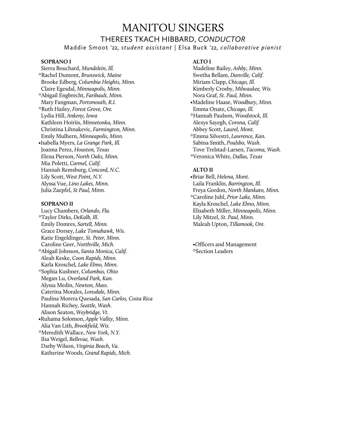## MANITOU SINGERS THEREES TKACH HIBBARD, *CONDUCTOR* Maddie Smoot '22, *student assistant* | Elsa Buck '22, *collaborative pianist*

#### **SOPRANO I**

Sierra Bouchard, *Mundelein, Ill.* \*Rachel Dumont, *Brunswick, Maine* Brooke Edberg, *Columbia Heights, Minn.* Claire Egesdal, *Minneapolis, Minn.* \*Abigail Engbrecht, *Faribault, Minn.* Mary Fangman, *Portsmouth, R.I.* \*Ruth Hailey, *Forest Grove, Ore.* Lydia Hill, *Ankeny, Iowa* Kathleen Hoiriis, *Minnetonka, Minn.* Christina Lihnakevic, *Farmington, Minn.* Emily Mulhern, *Minneapolis, Minn.* •Isabella Myers, *La Grange Park, Ill.* Joanna Perez, *Houston, Texas* Elena Pierson, *North Oaks, Minn.* Mia Poletti, *Carmel, Calif.* Hannah Remsburg, *Concord, N.C.* Lily Scott, *West Point, N.Y.* Alyssa Vue, *Lino Lakes, Minn.* Julia Zaepfel, *St Paul, Minn.*

#### **SOPRANO II**

Lucy Chambers, *Orlando, Fla.* \*Taylor Dirks, *DeKalb, Ill.* Emily Domres, *Sartell, Minn.* Grace Dorsey, *Lake Tomahawk, Wis.* Katie Engeldinger, *St. Peter, Minn.* Caroline Geer, *Northville, Mich.* \*Abigail Johnson, *Santa Monica, Calif.* Aleah Keske, *Coon Rapids, Minn.* Karla Kroschel*, Lake Elmo, Minn.* \*Sophia Kushner, *Columbus, Ohio* Megan Lu, *Overland Park, Kan.* Alyssa Medin, *Newton, Mass.* Caterina Morales, *Lonsdale, Minn.* Paulina Morera Quesada, *San Carlos, Costa Rica* Hannah Richey, *Seattle, Wash.* Alison Seaton, *Weybridge, Vt.* •Ruhama Solomon, *Apple Valley, Minn.* Alia Van Lith, *Brookfield, Wis.* \*Meredith Wallace, *New York, N.Y.* Ilsa Weigel, *Bellevue, Wash.* Darby Wilson, *Virginia Beach, Va.* Katherine Woods, *Grand Rapids, Mich.*

### **ALTO I**

Madeline Bailey, *Ashby, Minn.* Swetha Bellam, *Danville, Calif.* Miriam Clapp, *Chicago, Ill.* Kimberly Crosby, *Milwaukee, Wis.* Nora Graf, *St. Paul, Minn.* •Madeline Haase, *Woodbury, Minn.* Emma Onate, *Chicago, Ill.* \*Hannah Paulson, *Woodstock, Ill.* Alexys Sayegh, *Corona, Calif.* Abbey Scott, *Laurel, Mont.* \*Emma Silvestri, *Lawrence, Kan.* Sabina Smith, *Poulsbo, Wash.* Tove Trelstad-Larsen, *Tacoma, Wash.* \*Veronica White, *Dallas, Texas*

#### **ALTO II**

•Briar Bell, *Helena, Mont.* Laila Franklin, *Barrington, Ill.* Freya Gordon, *North Mankato, Minn.* \*Caroline Juhl, *Prior Lake, Minn.* Kayla Kroschel, *Lake Elmo, Minn.* Elisabeth Miller, *Minneapolis, Minn.* Lily Mitzel, *St. Paul, Minn.* Maleah Upton, *Tillamook, Ore.*

•Officers and Management \*Section Leaders